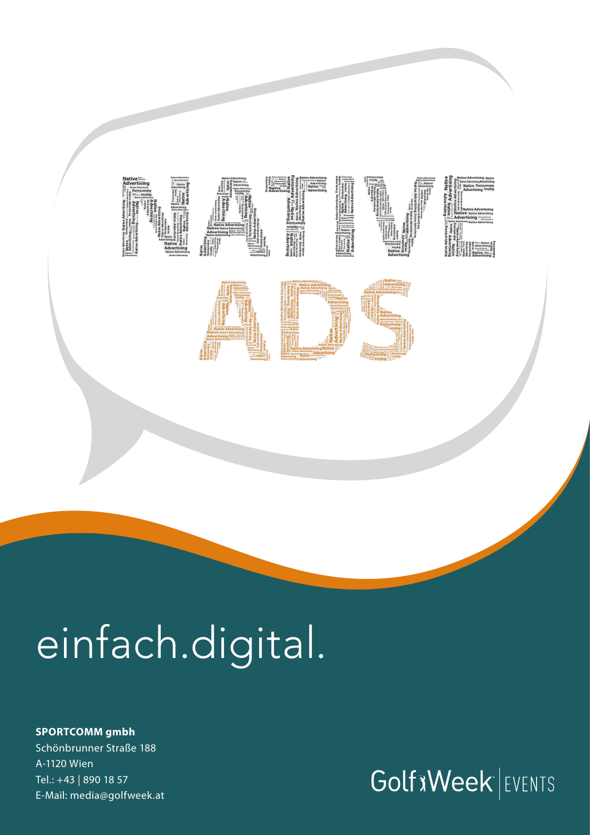

# einfach.digital.

### **SPORTCOMM gmbh** Schönbrunner Straße 188 A-1120 Wien Tel.: +43 | 890 18 57 E-Mail: media@golfweek.at

## **Golf x Week** EVENTS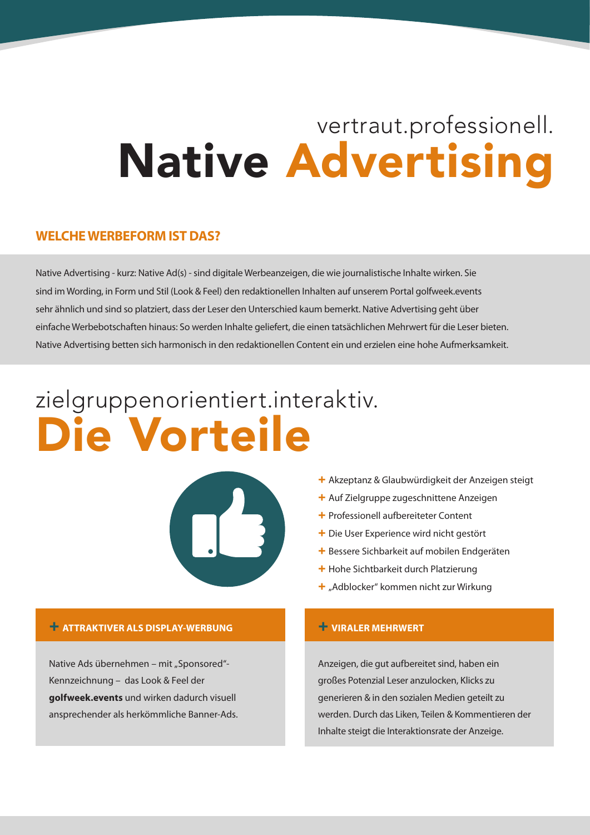## vertraut.professionell. Native Advertising

### **WELCHE WERBEFORM IST DAS?**

Native Advertising - kurz: Native Ad(s) - sind digitale Werbeanzeigen, die wie journalistische Inhalte wirken. Sie sind im Wording, in Form und Stil (Look & Feel) den redaktionellen Inhalten auf unserem Portal golfweek.events sehr ähnlich und sind so platziert, dass der Leser den Unterschied kaum bemerkt. Native Advertising geht über einfache Werbebotschaften hinaus: So werden Inhalte geliefert, die einen tatsächlichen Mehrwert für die Leser bieten. Native Advertising betten sich harmonisch in den redaktionellen Content ein und erzielen eine hohe Aufmerksamkeit.

## zielgruppenorientiert.interaktiv. Die Vorteile



#### + Akzeptanz & Glaubwürdigkeit der Anzeigen steigt

- + Auf Zielgruppe zugeschnittene Anzeigen
- + Professionell aufbereiteter Content
- + Die User Experience wird nicht gestört
- + Bessere Sichbarkeit auf mobilen Endgeräten
- + Hohe Sichtbarkeit durch Platzierung
- + "Adblocker" kommen nicht zur Wirkung

### + **ATTRAKTIVER ALS DISPLAY-WERBUNG**

Native Ads übernehmen – mit "Sponsored"-Kennzeichnung – das Look & Feel der **golfweek.events** und wirken dadurch visuell ansprechender als herkömmliche Banner-Ads.

### + **VIRALER MEHRWERT**

Anzeigen, die gut aufbereitet sind, haben ein großes Potenzial Leser anzulocken, Klicks zu generieren & in den sozialen Medien geteilt zu werden. Durch das Liken, Teilen & Kommentieren der Inhalte steigt die Interaktionsrate der Anzeige.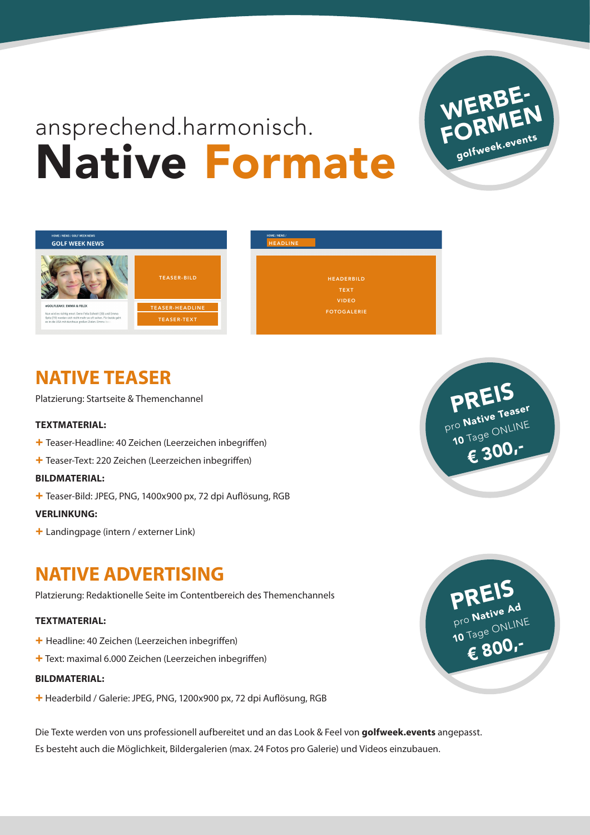## ansprechend.harmonisch. Native Formate



## **NATIVE TEASER**

Platzierung: Startseite & Themenchannel

### **TEXTMATERIAL:**

- + Teaser-Headline: 40 Zeichen (Leerzeichen inbegriffen)
- + Teaser-Text: 220 Zeichen (Leerzeichen inbegriffen)

### **BILDMATERIAL:**

+ Teaser-Bild: JPEG, PNG, 1400x900 px, 72 dpi Auflösung, RGB

### **VERLINKUNG:**

+ Landingpage (intern / externer Link)

## **NATIVE ADVERTISING**

Platzierung: Redaktionelle Seite im Contentbereich des Themenchannels

### **TEXTMATERIAL:**

- + Headline: 40 Zeichen (Leerzeichen inbegriffen)
- + Text: maximal 6.000 Zeichen (Leerzeichen inbegriffen)

#### **BILDMATERIAL:**

+ Headerbild / Galerie: JPEG, PNG, 1200x900 px, 72 dpi Auflösung, RGB

Die Texte werden von uns professionell aufbereitet und an das Look & Feel von **golfweek.events** angepasst. Es besteht auch die Möglichkeit, Bildergalerien (max. 24 Fotos pro Galerie) und Videos einzubauen.



## PREIS pro Native Teaser 10 Tage ONLINE **€** 300,-

TEASER-BILD **headers and the company of the company of the company of the company of the company of the company of the company of the company of the company of the company of the company of the company of the company of th** TEXT VIDEO FOTOGALERIE HEADLINE